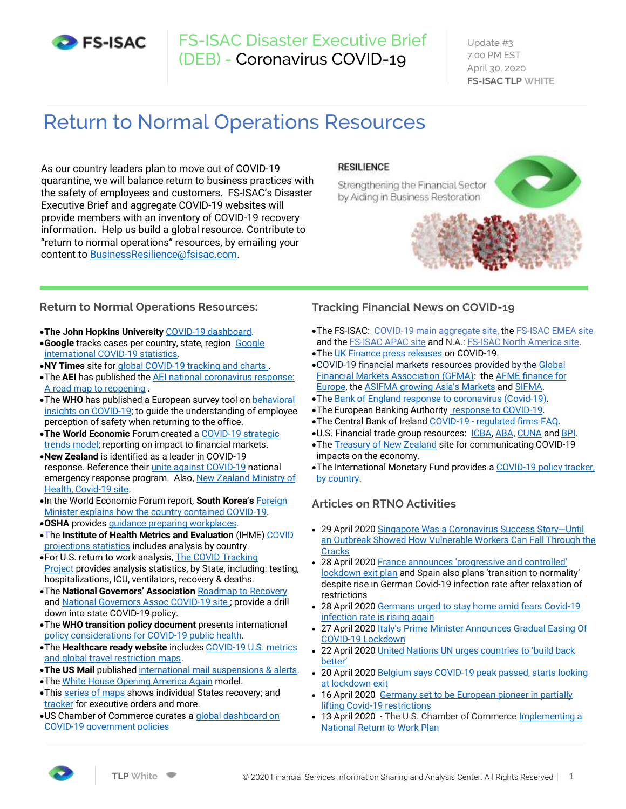

# FS-ISAC Disaster Executive Brief (DEB) - Coronavirus COVID-19

Update #3 7:00 PM EST April 30, 2020 **FS-ISAC TLP WHITE**

# Return to Normal Operations Resources

As our country leaders plan to move out of COVID-19 quarantine, we will balance return to business practices with the safety of employees and customers. FS-ISAC's Disaster Executive Brief and aggregate COVID-19 websites will provide members with an inventory of COVID-19 recovery information. Help us build a global resource. Contribute to "return to normal operations" resources, by emailing your content to [BusinessResilience@fsisac.com.](mailto:BusinessResilience@fsisac.com)

# **RESILIENCE**

Strengthening the Financial Sector by Aiding in Business Restoration





# **Return to Normal Operations Resources:**

- •**The John Hopkins University** [COVID-19 dashboard.](https://gisanddata.maps.arcgis.com/apps/opsdashboard/index.html#/bda7594740fd40299423467b48e9ecf6)
- •**Google** tracks cases per country, state, region [Google](https://www.google.com/search?source=hp&ei=feqdXs_mCofv_Qao_JHQAw&q=google+covid+19+map&oq=google+covid&gs_lcp=CgZwc3ktYWIQARgAMgUIABCDATICCAAyAggAMgIIADIFCAAQgwEyBQgAEIMBMgUIABCDATIFCAAQgwEyBQgAEIMBMgUIABCDAToOCAAQ6gIQtAIQmgEQ5QI6BAgAEApQ7x9Y8J0BYPCyAWgFcAB4AIABigKIAYkIkgEGMTYuMC4xmAEAoAEBqgEHZ3dzLXdperABBg&sclient=psy-ab)  [international COVID-19 statistics.](https://www.google.com/search?source=hp&ei=feqdXs_mCofv_Qao_JHQAw&q=google+covid+19+map&oq=google+covid&gs_lcp=CgZwc3ktYWIQARgAMgUIABCDATICCAAyAggAMgIIADIFCAAQgwEyBQgAEIMBMgUIABCDATIFCAAQgwEyBQgAEIMBMgUIABCDAToOCAAQ6gIQtAIQmgEQ5QI6BAgAEApQ7x9Y8J0BYPCyAWgFcAB4AIABigKIAYkIkgEGMTYuMC4xmAEAoAEBqgEHZ3dzLXdperABBg&sclient=psy-ab)
- •**NY Times** site fo[r global COVID-19 tracking and charts .](https://www.nytimes.com/interactive/2020/world/coronavirus-maps.html)
- •The **AEI** has published th[e AEI national coronavirus response:](https://www.aei.org/research-products/report/national-coronavirus-response-a-road-map-to-reopening/)  [A road map to reopening](https://www.aei.org/research-products/report/national-coronavirus-response-a-road-map-to-reopening/) .
- •The **WHO** has published a European survey tool on [behavioral](http://www.euro.who.int/en/health-topics/health-emergencies/coronavirus-covid-19/novel-coronavirus-2019-ncov-technical-guidance/who-tool-for-behavioural-insights-on-covid-19)  [insights on COVID-19;](http://www.euro.who.int/en/health-topics/health-emergencies/coronavirus-covid-19/novel-coronavirus-2019-ncov-technical-guidance/who-tool-for-behavioural-insights-on-covid-19) to guide the understanding of employee perception of safety when returning to the office.
- •**The World Economic** Forum created a [COVID-19 strategic](https://intelligence.weforum.org/topics/a1G0X000006O6EHUA0?tab=publications)  [trends model;](https://intelligence.weforum.org/topics/a1G0X000006O6EHUA0?tab=publications) reporting on impact to financial markets. •**New Zealand** is identified as a leader in COVID-19
- response. Reference thei[r unite against COVID-19](https://covid19.govt.nz/) national emergency response program. Also, New Zealand Ministry of [Health, Covid-19 site.](https://www.health.govt.nz/our-work/diseases-and-conditions/covid-19-novel-coronavirus/covid-19-novel-coronavirus-information-specific-audiences/covid-19-advice-workers-including-personal-protective-equipment)
- •In the World Economic Forum report, **South Korea's** [Foreign](https://www.weforum.org/agenda/2020/03/south-korea-covid-19-containment-testing)  [Minister explains how the country contained COVID-19.](https://www.weforum.org/agenda/2020/03/south-korea-covid-19-containment-testing) •**OSHA** provide[s guidance preparing workplaces.](https://www.osha.gov/Publications/OSHA3990.pdf)
- •The **Institute of Health Metrics and Evaluation** (IHME[\) COVID](https://covid19.healthdata.org/united-states-of-america)  [projections](https://covid19.healthdata.org/united-states-of-america) statistics includes analysis by country.
- •For U.S. return to work analysis[, The COVID Tracking](https://covidtracking.com/why-it-matters)  [Project](https://covidtracking.com/why-it-matters) provides analysis statistics, by State, including: testing, hospitalizations, ICU, ventilators, recovery & deaths.
- •The **National Governors' Association** [Roadmap to Recovery](https://www.nga.org/center/publications/health/roadmap-to-recovery/)  an[d National Governors Assoc COVID-19 site ;](https://www.nga.org/coronavirus/) provide a drill down into state COVID-19 policy.
- •The **WHO transition policy document** presents international [policy considerations for COVID-19 public health.](http://www.euro.who.int/__data/assets/pdf_file/0018/440037/Strength-AdjustingMeasuresCOVID19-transition-phases.pdf?ua=1)
- •The **Healthcare ready website** include[s COVID-19 U.S. metrics](https://healthcareready.org/covid19/map)  [and global travel restriction maps.](https://healthcareready.org/covid19/map)
- •**The US Mail** published [international mail suspensions & alerts.](https://about.usps.com/newsroom/service-alerts/international/welcome.htm)
- •Th[e White House Opening America Again](https://www.whitehouse.gov/openingamerica/#criteria) model.
- •This [series of maps](https://urldefense.com/v3/__https:/www.politico.com/news/2020/03/24/coronavirus-state-response-maps-146144__;!!KiKuo7vuEfFtdC9btZxc!ydaTqESYyTlkMKFP28HfGzKiXKCYeX3Wc7UWwCayfuUmtCgTs-f1D4zsPKmyHA$) shows individual States recovery; and [tracker](https://urldefense.com/v3/__https:/docs.google.com/spreadsheets/d/e/2PACX-1vRlJWZJ7OkGUW57_rdA2n3xBJ3qjW6u4Z9N6K9Y5L4bM_6H7-S308qdKmJfpVstYWf300nyujvZPFSy/pubhtml?urp=gmail_link__;!!KiKuo7vuEfFtdC9btZxc!ydaTqESYyTlkMKFP28HfGzKiXKCYeX3Wc7UWwCayfuUmtCgTs-f1D4xU7XUzNQ$) for executive orders and more.
- •US Chamber of Commerce curates a [global dashboard on](https://www.uschamber.com/international-affairs-division/covid-dashboard)  [COVID-19 government policies](https://www.uschamber.com/international-affairs-division/covid-dashboard)

#### **Tracking Financial News on COVID-19**

- •The FS-ISAC: [COVID-19 main aggregate site,](http://share.dhs.gov/crisis-response) th[e FS-ISAC EMEA site](https://share.dhs.gov/covid-uk/) and th[e FS-ISAC APAC site](https://share.dhs.gov/covid-singapore/) and N.A.: [FS-ISAC North America site.](https://share.dhs.gov/covid-americas/)
- •Th[e UK Finance press releases](https://www.ukfinance.org.uk/press/press-releases) on COVID-19.
- •COVID-19 financial markets resources provided by th[e Global](https://www.gfma.org/global-market-policies/covid-19/)  [Financial Markets Association \(GFMA\):](https://www.gfma.org/global-market-policies/covid-19/) the [AFME finance for](https://www.afme.eu/Key-issues/COVID-19)  [Europe,](https://www.afme.eu/Key-issues/COVID-19) th[e ASIFMA growing Asia's Markets](https://www.asifma.org/resource/covid-19/) an[d SIFMA.](https://www.sifma.org/resources/general/bcp/)
- •Th[e Bank of England response to coronavirus \(Covid-19\).](https://www.bankofengland.co.uk/coronavirus)
- •The European Banking Authorit[y response to COVID-19.](https://eba.europa.eu/coronavirus)
- •The Central Bank of Ireland COVID-19 [regulated firms FAQ.](https://www.centralbank.ie/consumer-hub/covid-19/faq-for-regulated-firms?utm_medium=website&utm_source=CBI-Regulation&utm_campaign=covid-19-hub&utm_content=43924)
- •U.S. Financial trade group resources: [ICBA,](https://urldefense.com/v3/__https:/www.icba.org/news/Crisis-Preparedness__;!!KiKuo7vuEfFtdC9btZxc!2oMEoOy3wlZj7vCzN1itM-JOBVkrmBoqcJU3hBFi-wXbykjD-fMPdhpK6bGs4Q$) [ABA,](https://www.aba.com/banking-topics/risk-management/incident-response/coronavirus) [CUNA](https://www.cuna.org/Coronavirus-Disease-(COVID-19)/) an[d BPI.](https://bpi.com/coronavirus/)
- •The **Treasury of New Zealand** site for communicating COVID-19 impacts on the economy.
- •The International Monetary Fund provides [a COVID-19 policy tracker,](https://www.imf.org/en/Topics/imf-and-covid19/Policy-Responses-to-COVID-19)  [by country.](https://www.imf.org/en/Topics/imf-and-covid19/Policy-Responses-to-COVID-19)

# **Articles on RTNO Activities**

- 29 April 202[0 Singapore Was a Coronavirus Success Story](https://time.com/5825261/singapore-coronavirus-migrant-workers-inequality/)-Until [an Outbreak Showed How Vulnerable Workers Can Fall Through the](https://time.com/5825261/singapore-coronavirus-migrant-workers-inequality/)  **[Cracks](https://time.com/5825261/singapore-coronavirus-migrant-workers-inequality/)**
- 28 April 202[0 France announces 'progressive and controlled'](https://www.theguardian.com/world/2020/apr/28/france-and-spain-announcement-lockdowns-ease)  [lockdown exit plan](https://www.theguardian.com/world/2020/apr/28/france-and-spain-announcement-lockdowns-ease) and Spain also plans 'transition to normality' despite rise in German Covid-19 infection rate after relaxation of restrictions
- 28 April 2020 Germans urged to stay home amid fears Covid-19 [infection rate is rising again](https://www.theguardian.com/world/2020/apr/28/germans-urged-to-stay-home-amid-covid-19-infection-rate-fears)
- 27 April 2020 Italy's Prime Minister Announces Gradual Easing Of [COVID-19 Lockdown](https://www.npr.org/sections/coronavirus-live-updates/2020/04/27/845293195/italys-prime-minister-announces-gradual-easing-of-covid-19-lockdown)
- 22 April 2020 [United Nations UN urges countries to 'build back](https://www.un.org/en/un-coronavirus-communications-team/un-urges-countries-%E2%80%98build-back-better%E2%80%99)  [better'](https://www.un.org/en/un-coronavirus-communications-team/un-urges-countries-%E2%80%98build-back-better%E2%80%99)
- 20 April 2020 Belgium says COVID-19 peak passed, starts looking [at lockdown exit](https://www.reuters.com/article/us-health-coronavirus-belgium/belgium-says-covid-19-peak-passed-starts-looking-at-lockdown-exit-idUSKBN2221GN)
- 16 April 2020 Germany set to be European pioneer in partially [lifting Covid-19 restrictions](https://www.france24.com/en/20200416-germany-coronavirus-covid-19-angela-merkel-social-distancing-relaxation-who-pandemic)
- 13 April 2020 The U.S. Chamber of Commerce Implementing a [National Return to Work Plan](https://www.uschamber.com/coronavirus/implementing-national-return-to-work-plan)